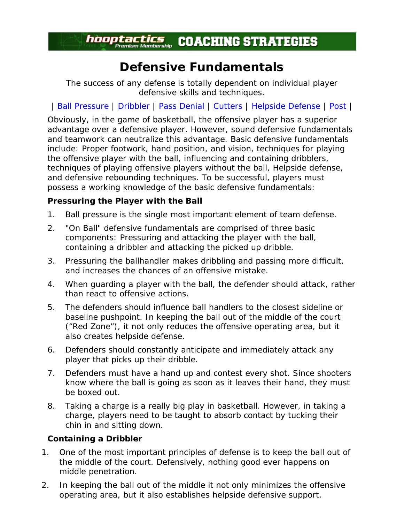# *hooptactics* COACHING STRATEGIES

## **Defensive Fundamentals**

*The success of any defense is totally dependent on individual player defensive skills and techniques.*

| Ball Pressure | Dribbler | Pass Denial | Cutters | Helpside Defense | Post |

Obviously, in the game of basketball, the offensive player has a superior advantage over a defensive player. However, sound defensive fundamentals and teamwork can neutralize this advantage. Basic defensive fundamentals include: Proper footwork, hand position, and vision, techniques for playing the offensive player with the ball, influencing and containing dribblers, techniques of playing offensive players without the ball, Helpside defense, and defensive rebounding techniques. To be successful, players must possess a working knowledge of the basic defensive fundamentals:

### **Pressuring the Player with the Ball**

- 1. Ball pressure is the single most important element of team defense.
- 2. "On Ball" defensive fundamentals are comprised of three basic components: Pressuring and attacking the player with the ball, containing a dribbler and attacking the picked up dribble.
- 3. Pressuring the ballhandler makes dribbling and passing more difficult, and increases the chances of an offensive mistake.
- 4. When guarding a player with the ball, the defender should attack, rather than react to offensive actions.
- 5. The defenders should influence ball handlers to the closest sideline or baseline pushpoint. In keeping the ball out of the middle of the court ("Red Zone"), it not only reduces the offensive operating area, but it also creates helpside defense.
- 6. Defenders should constantly anticipate and immediately attack any player that picks up their dribble.
- 7. Defenders must have a hand up and contest every shot. Since shooters know where the ball is going as soon as it leaves their hand, they must be boxed out.
- 8. Taking a charge is a really big play in basketball. However, in taking a charge, players need to be taught to absorb contact by tucking their chin in and sitting down.

### **Containing a Dribbler**

- 1. One of the most important principles of defense is to keep the ball out of the middle of the court. Defensively, nothing good ever happens on middle penetration.
- 2. In keeping the ball out of the middle it not only minimizes the offensive operating area, but it also establishes helpside defensive support.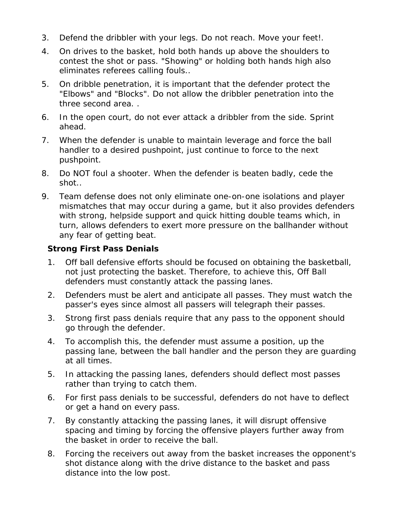- 3. Defend the dribbler with your legs. Do not reach. Move your feet!.
- 4. On drives to the basket, hold both hands up above the shoulders to contest the shot or pass. "Showing" or holding both hands high also eliminates referees calling fouls..
- 5. On dribble penetration, it is important that the defender protect the "Elbows" and "Blocks". Do not allow the dribbler penetration into the three second area. .
- 6. In the open court, do not ever attack a dribbler from the side. Sprint ahead.
- 7. When the defender is unable to maintain leverage and force the ball handler to a desired pushpoint, just continue to force to the next pushpoint.
- 8. Do NOT foul a shooter. When the defender is beaten badly, cede the shot..
- 9. Team defense does not only eliminate one-on-one isolations and player mismatches that may occur during a game, but it also provides defenders with strong, helpside support and quick hitting double teams which, in turn, allows defenders to exert more pressure on the ballhander without any fear of getting beat.

#### **Strong First Pass Denials**

- 1. Off ball defensive efforts should be focused on obtaining the basketball, not just protecting the basket. Therefore, to achieve this, Off Ball defenders must constantly attack the passing lanes.
- 2. Defenders must be alert and anticipate all passes. They must watch the passer's eyes since almost all passers will telegraph their passes.
- 3. Strong first pass denials require that any pass to the opponent should go through the defender.
- 4. To accomplish this, the defender must assume a position, up the passing lane, between the ball handler and the person they are guarding at all times.
- 5. In attacking the passing lanes, defenders should deflect most passes rather than trying to catch them.
- 6. For first pass denials to be successful, defenders do not have to deflect or get a hand on every pass.
- 7. By constantly attacking the passing lanes, it will disrupt offensive spacing and timing by forcing the offensive players further away from the basket in order to receive the ball.
- 8. Forcing the receivers out away from the basket increases the opponent's shot distance along with the drive distance to the basket and pass distance into the low post.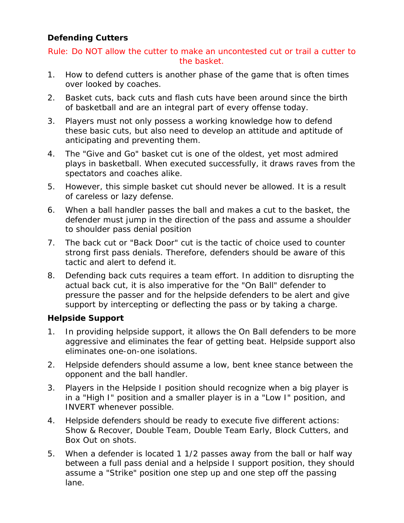### **Defending Cutters**

Rule: Do NOT allow the cutter to make an uncontested cut or trail a cutter to the basket.

- 1. How to defend cutters is another phase of the game that is often times over looked by coaches.
- 2. Basket cuts, back cuts and flash cuts have been around since the birth of basketball and are an integral part of every offense today.
- 3. Players must not only possess a working knowledge how to defend these basic cuts, but also need to develop an attitude and aptitude of anticipating and preventing them.
- 4. The "Give and Go" basket cut is one of the oldest, yet most admired plays in basketball. When executed successfully, it draws raves from the spectators and coaches alike.
- 5. However, this simple basket cut should never be allowed. It is a result of careless or lazy defense.
- 6. When a ball handler passes the ball and makes a cut to the basket, the defender must jump in the direction of the pass and assume a shoulder to shoulder pass denial position
- 7. The back cut or "Back Door" cut is the tactic of choice used to counter strong first pass denials. Therefore, defenders should be aware of this tactic and alert to defend it.
- 8. Defending back cuts requires a team effort. In addition to disrupting the actual back cut, it is also imperative for the "On Ball" defender to pressure the passer and for the helpside defenders to be alert and give support by intercepting or deflecting the pass or by taking a charge.

### **Helpside Support**

- 1. In providing helpside support, it allows the On Ball defenders to be more aggressive and eliminates the fear of getting beat. Helpside support also eliminates one-on-one isolations.
- 2. Helpside defenders should assume a low, bent knee stance between the opponent and the ball handler.
- 3. Players in the Helpside I position should recognize when a big player is in a "High I" position and a smaller player is in a "Low I" position, and INVERT whenever possible.
- 4. Helpside defenders should be ready to execute five different actions: Show & Recover, Double Team, Double Team Early, Block Cutters, and Box Out on shots.
- 5. When a defender is located 1 1/2 passes away from the ball or half way between a full pass denial and a helpside I support position, they should assume a "Strike" position one step up and one step off the passing lane.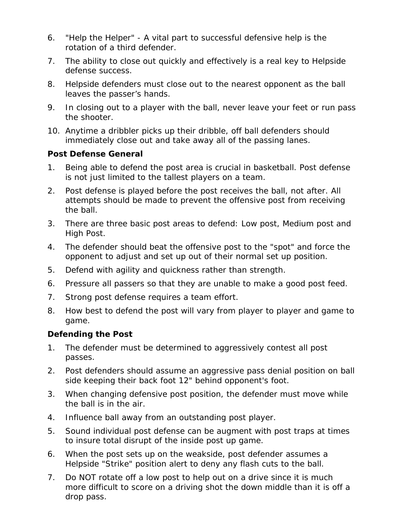- 6. "Help the Helper" A vital part to successful defensive help is the rotation of a third defender.
- 7. The ability to close out quickly and effectively is a real key to Helpside defense success.
- 8. Helpside defenders must close out to the nearest opponent as the ball leaves the passer's hands.
- 9. In closing out to a player with the ball, never leave your feet or run pass the shooter.
- 10. Anytime a dribbler picks up their dribble, off ball defenders should immediately close out and take away all of the passing lanes.

#### **Post Defense General**

- 1. Being able to defend the post area is crucial in basketball. Post defense is not just limited to the tallest players on a team.
- 2. Post defense is played before the post receives the ball, not after. All attempts should be made to prevent the offensive post from receiving the ball.
- 3. There are three basic post areas to defend: Low post, Medium post and High Post.
- 4. The defender should beat the offensive post to the "spot" and force the opponent to adjust and set up out of their normal set up position.
- 5. Defend with agility and quickness rather than strength.
- 6. Pressure all passers so that they are unable to make a good post feed.
- 7. Strong post defense requires a team effort.
- 8. How best to defend the post will vary from player to player and game to game.

### **Defending the Post**

- 1. The defender must be determined to aggressively contest all post passes.
- 2. Post defenders should assume an aggressive pass denial position on ball side keeping their back foot 12" behind opponent's foot.
- 3. When changing defensive post position, the defender must move while the ball is in the air.
- 4. Influence ball away from an outstanding post player.
- 5. Sound individual post defense can be augment with post traps at times to insure total disrupt of the inside post up game.
- 6. When the post sets up on the weakside, post defender assumes a Helpside "Strike" position alert to deny any flash cuts to the ball.
- 7. Do NOT rotate off a low post to help out on a drive since it is much more difficult to score on a driving shot the down middle than it is off a drop pass.